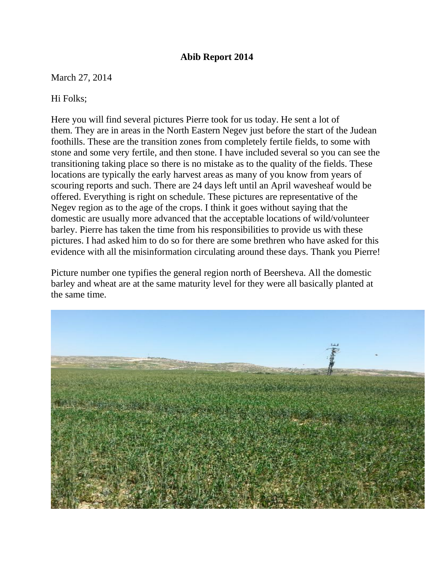## **Abib Report 2014**

March 27, 2014

## Hi Folks;

Here you will find several pictures Pierre took for us today. He sent a lot of them. They are in areas in the North Eastern Negev just before the start of the Judean foothills. These are the transition zones from completely fertile fields, to some with stone and some very fertile, and then stone. I have included several so you can see the transitioning taking place so there is no mistake as to the quality of the fields. These locations are typically the early harvest areas as many of you know from years of scouring reports and such. There are 24 days left until an April wavesheaf would be offered. Everything is right on schedule. These pictures are representative of the Negev region as to the age of the crops. I think it goes without saying that the domestic are usually more advanced that the acceptable locations of wild/volunteer barley. Pierre has taken the time from his responsibilities to provide us with these pictures. I had asked him to do so for there are some brethren who have asked for this evidence with all the misinformation circulating around these days. Thank you Pierre!

Picture number one typifies the general region north of Beersheva. All the domestic barley and wheat are at the same maturity level for they were all basically planted at the same time.

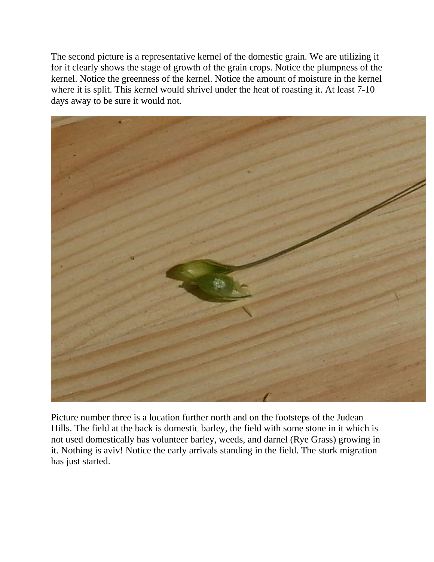The second picture is a representative kernel of the domestic grain. We are utilizing it for it clearly shows the stage of growth of the grain crops. Notice the plumpness of the kernel. Notice the greenness of the kernel. Notice the amount of moisture in the kernel where it is split. This kernel would shrivel under the heat of roasting it. At least 7-10 days away to be sure it would not.



Picture number three is a location further north and on the footsteps of the Judean Hills. The field at the back is domestic barley, the field with some stone in it which is not used domestically has volunteer barley, weeds, and darnel (Rye Grass) growing in it. Nothing is aviv! Notice the early arrivals standing in the field. The stork migration has just started.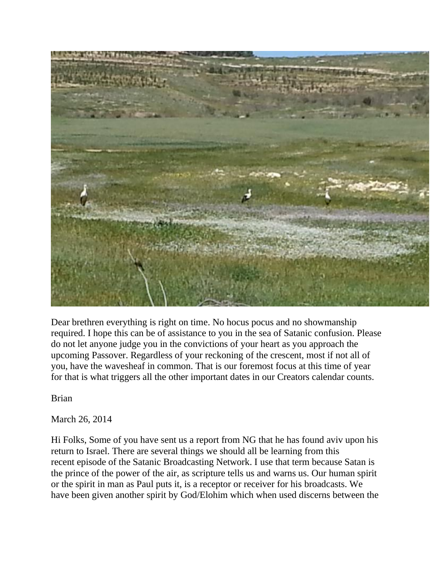

Dear brethren everything is right on time. No hocus pocus and no showmanship required. I hope this can be of assistance to you in the sea of Satanic confusion. Please do not let anyone judge you in the convictions of your heart as you approach the upcoming Passover. Regardless of your reckoning of the crescent, most if not all of you, have the wavesheaf in common. That is our foremost focus at this time of year for that is what triggers all the other important dates in our Creators calendar counts.

Brian

March 26, 2014

Hi Folks, Some of you have sent us a report from NG that he has found aviv upon his return to Israel. There are several things we should all be learning from this recent episode of the Satanic Broadcasting Network. I use that term because Satan is the prince of the power of the air, as scripture tells us and warns us. Our human spirit or the spirit in man as Paul puts it, is a receptor or receiver for his broadcasts. We have been given another spirit by God/Elohim which when used discerns between the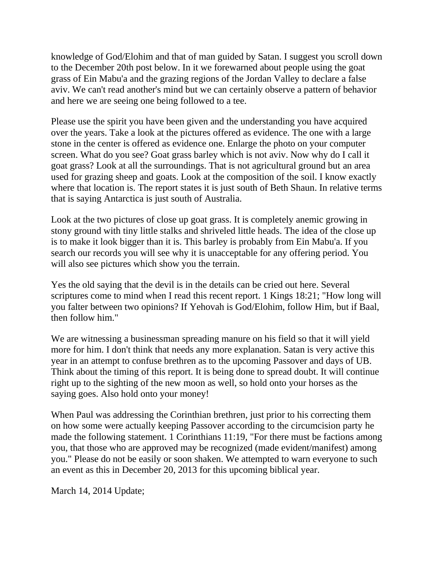knowledge of God/Elohim and that of man guided by Satan. I suggest you scroll down to the December 20th post below. In it we forewarned about people using the goat grass of Ein Mabu'a and the grazing regions of the Jordan Valley to declare a false aviv. We can't read another's mind but we can certainly observe a pattern of behavior and here we are seeing one being followed to a tee.

Please use the spirit you have been given and the understanding you have acquired over the years. Take a look at the pictures offered as evidence. The one with a large stone in the center is offered as evidence one. Enlarge the photo on your computer screen. What do you see? Goat grass barley which is not aviv. Now why do I call it goat grass? Look at all the surroundings. That is not agricultural ground but an area used for grazing sheep and goats. Look at the composition of the soil. I know exactly where that location is. The report states it is just south of Beth Shaun. In relative terms that is saying Antarctica is just south of Australia.

Look at the two pictures of close up goat grass. It is completely anemic growing in stony ground with tiny little stalks and shriveled little heads. The idea of the close up is to make it look bigger than it is. This barley is probably from Ein Mabu'a. If you search our records you will see why it is unacceptable for any offering period. You will also see pictures which show you the terrain.

Yes the old saying that the devil is in the details can be cried out here. Several scriptures come to mind when I read this recent report. 1 Kings 18:21; "How long will you falter between two opinions? If Yehovah is God/Elohim, follow Him, but if Baal, then follow him."

We are witnessing a businessman spreading manure on his field so that it will yield more for him. I don't think that needs any more explanation. Satan is very active this year in an attempt to confuse brethren as to the upcoming Passover and days of UB. Think about the timing of this report. It is being done to spread doubt. It will continue right up to the sighting of the new moon as well, so hold onto your horses as the saying goes. Also hold onto your money!

When Paul was addressing the Corinthian brethren, just prior to his correcting them on how some were actually keeping Passover according to the circumcision party he made the following statement. 1 Corinthians 11:19, "For there must be factions among you, that those who are approved may be recognized (made evident/manifest) among you." Please do not be easily or soon shaken. We attempted to warn everyone to such an event as this in December 20, 2013 for this upcoming biblical year.

March 14, 2014 Update;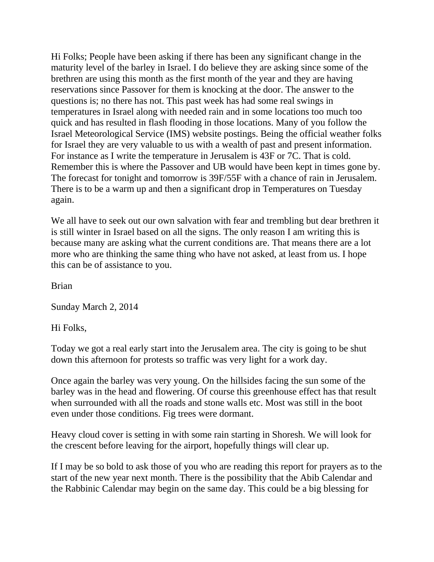Hi Folks; People have been asking if there has been any significant change in the maturity level of the barley in Israel. I do believe they are asking since some of the brethren are using this month as the first month of the year and they are having reservations since Passover for them is knocking at the door. The answer to the questions is; no there has not. This past week has had some real swings in temperatures in Israel along with needed rain and in some locations too much too quick and has resulted in flash flooding in those locations. Many of you follow the Israel Meteorological Service (IMS) website postings. Being the official weather folks for Israel they are very valuable to us with a wealth of past and present information. For instance as I write the temperature in Jerusalem is 43F or 7C. That is cold. Remember this is where the Passover and UB would have been kept in times gone by. The forecast for tonight and tomorrow is 39F/55F with a chance of rain in Jerusalem. There is to be a warm up and then a significant drop in Temperatures on Tuesday again.

We all have to seek out our own salvation with fear and trembling but dear brethren it is still winter in Israel based on all the signs. The only reason I am writing this is because many are asking what the current conditions are. That means there are a lot more who are thinking the same thing who have not asked, at least from us. I hope this can be of assistance to you.

Brian

Sunday March 2, 2014

Hi Folks,

Today we got a real early start into the Jerusalem area. The city is going to be shut down this afternoon for protests so traffic was very light for a work day.

Once again the barley was very young. On the hillsides facing the sun some of the barley was in the head and flowering. Of course this greenhouse effect has that result when surrounded with all the roads and stone walls etc. Most was still in the boot even under those conditions. Fig trees were dormant.

Heavy cloud cover is setting in with some rain starting in Shoresh. We will look for the crescent before leaving for the airport, hopefully things will clear up.

If I may be so bold to ask those of you who are reading this report for prayers as to the start of the new year next month. There is the possibility that the Abib Calendar and the Rabbinic Calendar may begin on the same day. This could be a big blessing for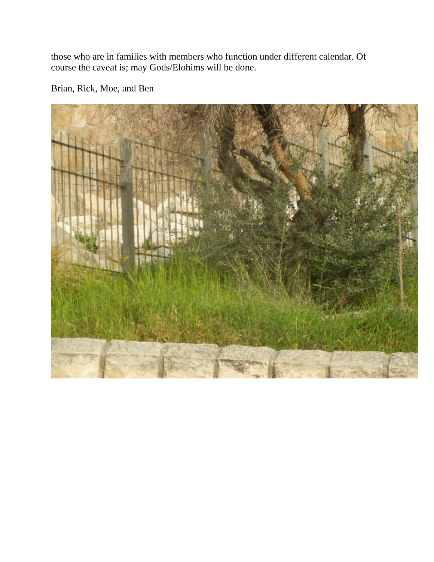those who are in families with members who function under different calendar. Of course the caveat is; may Gods/Elohims will be done.

Brian, Rick, Moe, and Ben

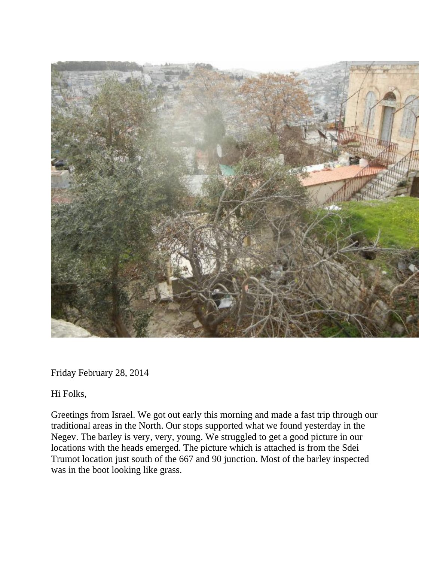

Friday February 28, 2014

Hi Folks,

Greetings from Israel. We got out early this morning and made a fast trip through our traditional areas in the North. Our stops supported what we found yesterday in the Negev. The barley is very, very, young. We struggled to get a good picture in our locations with the heads emerged. The picture which is attached is from the Sdei Trumot location just south of the 667 and 90 junction. Most of the barley inspected was in the boot looking like grass.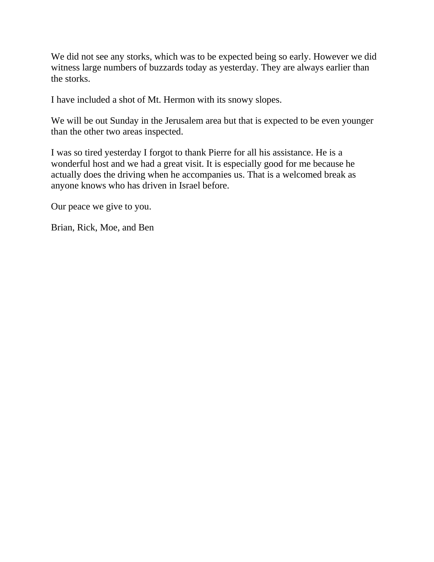We did not see any storks, which was to be expected being so early. However we did witness large numbers of buzzards today as yesterday. They are always earlier than the storks.

I have included a shot of Mt. Hermon with its snowy slopes.

We will be out Sunday in the Jerusalem area but that is expected to be even younger than the other two areas inspected.

I was so tired yesterday I forgot to thank Pierre for all his assistance. He is a wonderful host and we had a great visit. It is especially good for me because he actually does the driving when he accompanies us. That is a welcomed break as anyone knows who has driven in Israel before.

Our peace we give to you.

Brian, Rick, Moe, and Ben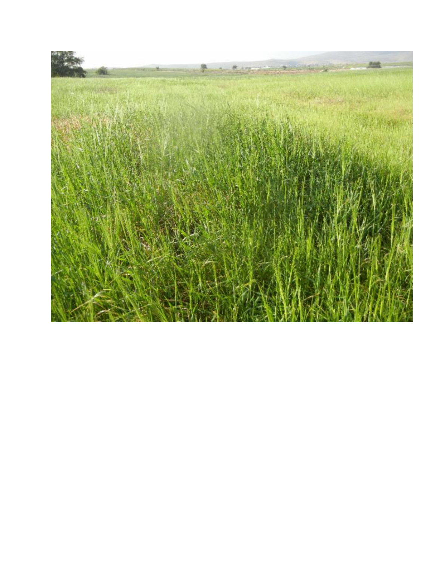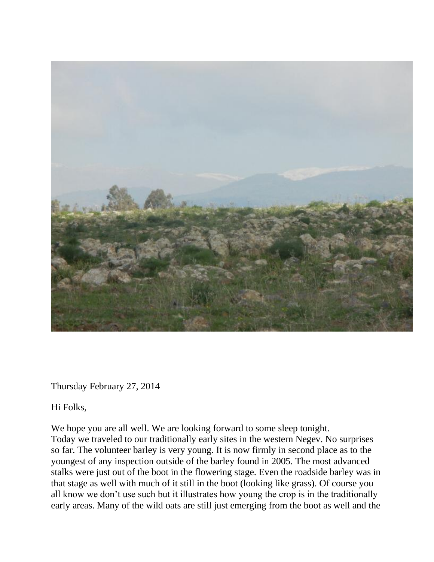

Thursday February 27, 2014

Hi Folks,

We hope you are all well. We are looking forward to some sleep tonight. Today we traveled to our traditionally early sites in the western Negev. No surprises so far. The volunteer barley is very young. It is now firmly in second place as to the youngest of any inspection outside of the barley found in 2005. The most advanced stalks were just out of the boot in the flowering stage. Even the roadside barley was in that stage as well with much of it still in the boot (looking like grass). Of course you all know we don't use such but it illustrates how young the crop is in the traditionally early areas. Many of the wild oats are still just emerging from the boot as well and the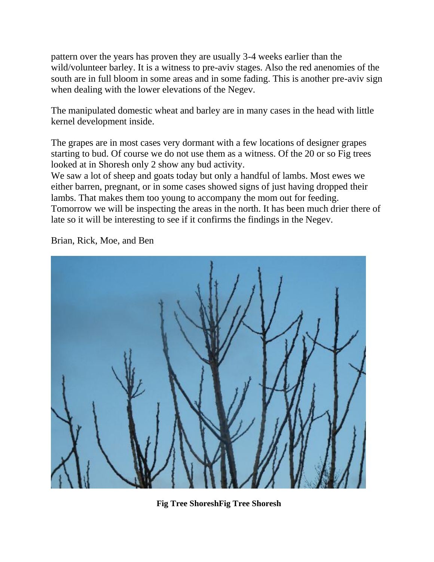pattern over the years has proven they are usually 3-4 weeks earlier than the wild/volunteer barley. It is a witness to pre-aviv stages. Also the red anenomies of the south are in full bloom in some areas and in some fading. This is another pre-aviv sign when dealing with the lower elevations of the Negev.

The manipulated domestic wheat and barley are in many cases in the head with little kernel development inside.

The grapes are in most cases very dormant with a few locations of designer grapes starting to bud. Of course we do not use them as a witness. Of the 20 or so Fig trees looked at in Shoresh only 2 show any bud activity.

We saw a lot of sheep and goats today but only a handful of lambs. Most ewes we either barren, pregnant, or in some cases showed signs of just having dropped their lambs. That makes them too young to accompany the mom out for feeding. Tomorrow we will be inspecting the areas in the north. It has been much drier there of late so it will be interesting to see if it confirms the findings in the Negev.

Brian, Rick, Moe, and Ben



**Fig Tree ShoreshFig Tree Shoresh**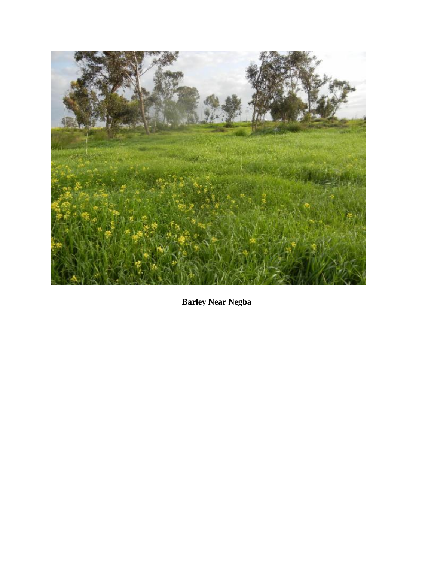

**Barley Near Negba**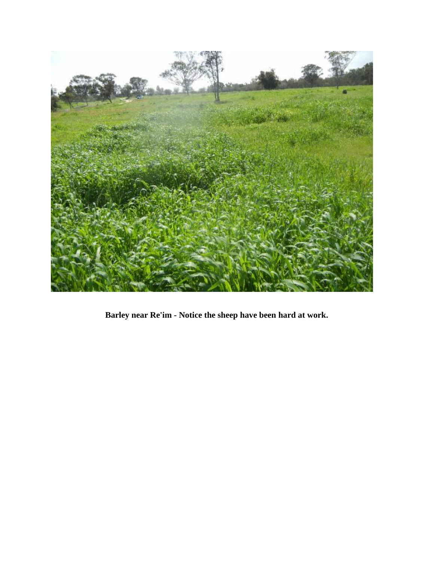

**Barley near Re'im - Notice the sheep have been hard at work.**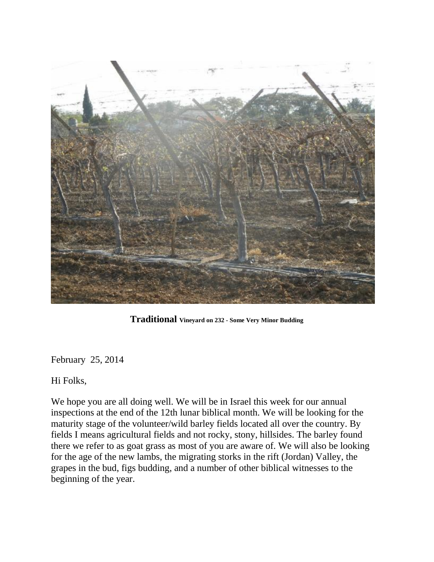

**Traditional Vineyard on 232 - Some Very Minor Budding**

February 25, 2014

Hi Folks,

We hope you are all doing well. We will be in Israel this week for our annual inspections at the end of the 12th lunar biblical month. We will be looking for the maturity stage of the volunteer/wild barley fields located all over the country. By fields I means agricultural fields and not rocky, stony, hillsides. The barley found there we refer to as goat grass as most of you are aware of. We will also be looking for the age of the new lambs, the migrating storks in the rift (Jordan) Valley, the grapes in the bud, figs budding, and a number of other biblical witnesses to the beginning of the year.